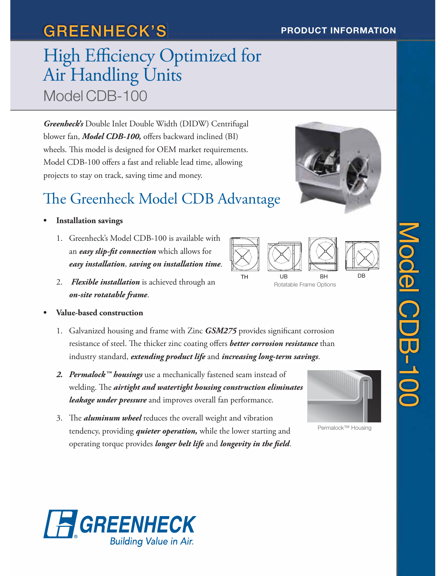# **GREENHECK'S PRODUCT INFORMATION**

# High Efficiency Optimized for<br>
Air Handling Units<br>
Model CDB-100<br>
Greenbeck's Double Inter Double Width (DIDW) Centrifugal<br>
blower fan, *Model CDB-100*, offers backward inclined (BI)<br>
wheels. This model is designed for OEM Air Handling Units Model CDB-100

*Greenheck's* Double Inlet Double Width (DIDW) Centrifugal blower fan, *Model CDB-100,* offers backward inclined (BI) wheels. This model is designed for OEM market requirements. Model CDB-100 offers a fast and reliable lead time, allowing projects to stay on track, saving time and money.

# The Greenheck Model CDB Advantage

### **• Installation savings •**

- 1. Greenheck's Model CDB-100 is available with an *easy slip-fit connection* which allows for easy installation, saving on installation time.
- 2. Flexible installation is achieved through an *on-site rotatable frame*.

### **• Value-based construction •**

- 1. Galvanized housing and frame with Zinc *GSM275* provides significant corrosion resistance of steel. The thicker zinc coating offers *better corrosion resistance* than industry standard, *extending product life* and *increasing long-term savings*. 1. Galvanized housing and frame with Zinc *GSM275* provides significant corro<br>resistance of steel. The thicker zinc coating offers **better corrosion resistance**<br>industry standard, *extending product life* and *increasing l*
- 2. Permalock<sup>™</sup> housings use a mechanically fastened seam instead of welding. The *airtight and watertight housing construction eliminates eliminates leakage under pressure* and improves overall fan performance.
- 3. The *aluminum wheel* reduces the overall weight and vibration tendency, providing *quieter operation,* while the lower starting and operating torque provides *longer belt life* and *longevity in the field*.



Permalock™ Housing





Rotatable Frame Options